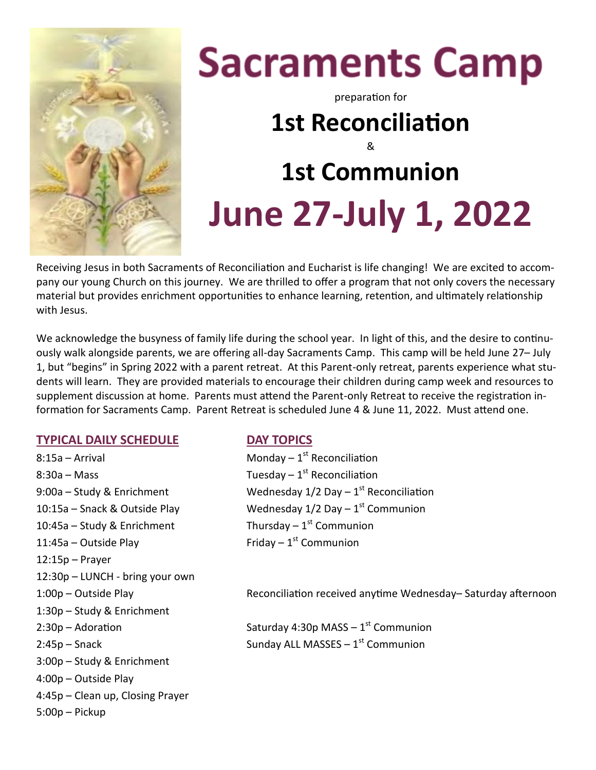

# **Sacraments Camp**

preparation for

## **1st Reconciliation** & **1st Communion June 27-July 1, 2022**

Receiving Jesus in both Sacraments of Reconciliation and Eucharist is life changing! We are excited to accompany our young Church on this journey. We are thrilled to offer a program that not only covers the necessary material but provides enrichment opportunities to enhance learning, retention, and ultimately relationship with Jesus.

We acknowledge the busyness of family life during the school year. In light of this, and the desire to continuously walk alongside parents, we are offering all-day Sacraments Camp. This camp will be held June 27– July 1, but "begins" in Spring 2022 with a parent retreat. At this Parent-only retreat, parents experience what students will learn. They are provided materials to encourage their children during camp week and resources to supplement discussion at home. Parents must attend the Parent-only Retreat to receive the registration information for Sacraments Camp. Parent Retreat is scheduled June 4 & June 11, 2022. Must attend one.

#### **TYPICAL DAILY SCHEDULE DAY TOPICS**

 $8:15a -$  Arrival 8:30a – Mass  $\begin{array}{cc}\text{Stab} & \text{The equation}\end{array}$  $9:00a -$  Study & Enrichment  $10:15a$  – Snack & Outside Play  $10:45a -$  Study & Enrichment  $11:45a -$  Outside Play 12:15p – Prayer 12:30p – LUNCH - bring your own 1:30p – Study & Enrichment 2:45p – Snack **Sunday ALL MASSES** – 1<sup>st</sup> Communion 3:00p – Study & Enrichment 4:00p – Outside Play 4:45p – Clean up, Closing Prayer 5:00p – Pickup

Monday  $-1$ <sup>st</sup> Reconciliation Wednesday  $1/2$  Day  $-1$ <sup>st</sup> Reconciliation Wednesday  $1/2$  Day  $-1$ <sup>st</sup> Communion Thursday  $-1$ <sup>st</sup> Communion Friday  $-1^{st}$  Communion

1:00p – Outside Play Reconciliation received anytime Wednesday– Saturday afternoon

 $2:30p -$  Adoration Saturday 4:30p MASS  $-1<sup>st</sup>$  Communion